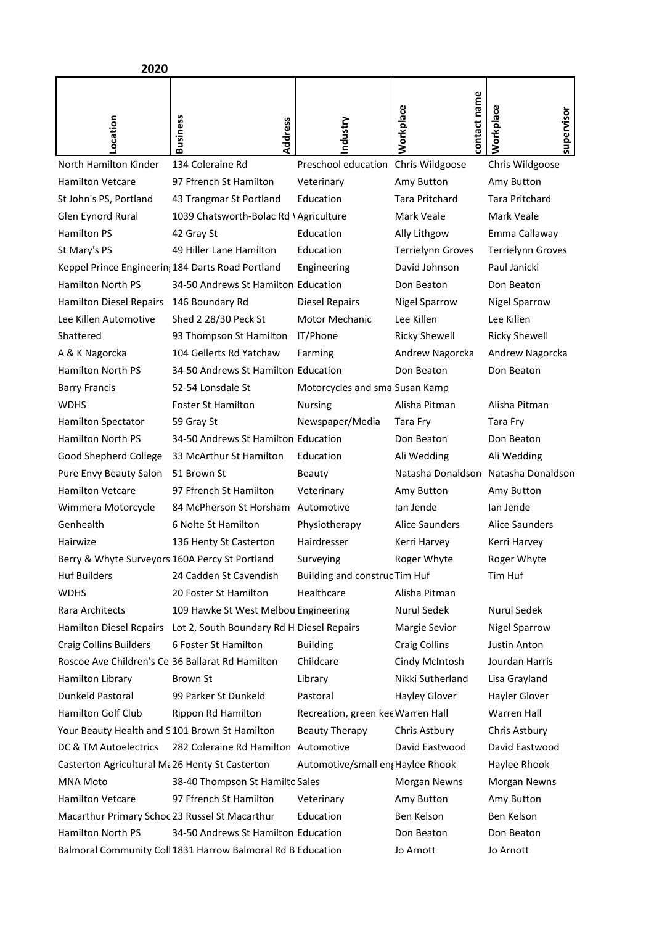| 2020                                             |                                                             |                                     |                           |                                     |
|--------------------------------------------------|-------------------------------------------------------------|-------------------------------------|---------------------------|-------------------------------------|
| ocation                                          | <b>Business</b><br>Address                                  | ndustry                             | contact name<br>Workplace | Workplace<br>supervisor             |
| North Hamilton Kinder                            | 134 Coleraine Rd                                            | Preschool education Chris Wildgoose |                           | Chris Wildgoose                     |
| <b>Hamilton Vetcare</b>                          | 97 Ffrench St Hamilton                                      | Veterinary                          | Amy Button                | Amy Button                          |
| St John's PS, Portland                           | 43 Trangmar St Portland                                     | Education                           | <b>Tara Pritchard</b>     | <b>Tara Pritchard</b>               |
| Glen Eynord Rural                                | 1039 Chatsworth-Bolac Rd \Agriculture                       |                                     | Mark Veale                | Mark Veale                          |
| <b>Hamilton PS</b>                               | 42 Gray St                                                  | Education                           | Ally Lithgow              | Emma Callaway                       |
| St Mary's PS                                     | 49 Hiller Lane Hamilton                                     | Education                           | <b>Terrielynn Groves</b>  | Terrielynn Groves                   |
|                                                  | Keppel Prince Engineerin; 184 Darts Road Portland           | Engineering                         | David Johnson             | Paul Janicki                        |
| <b>Hamilton North PS</b>                         | 34-50 Andrews St Hamilton Education                         |                                     | Don Beaton                | Don Beaton                          |
| <b>Hamilton Diesel Repairs</b>                   | 146 Boundary Rd                                             | <b>Diesel Repairs</b>               | <b>Nigel Sparrow</b>      | <b>Nigel Sparrow</b>                |
| Lee Killen Automotive                            | Shed 2 28/30 Peck St                                        | <b>Motor Mechanic</b>               | Lee Killen                | Lee Killen                          |
| Shattered                                        | 93 Thompson St Hamilton                                     | IT/Phone                            | <b>Ricky Shewell</b>      | <b>Ricky Shewell</b>                |
| A & K Nagorcka                                   | 104 Gellerts Rd Yatchaw                                     | Farming                             | Andrew Nagorcka           | Andrew Nagorcka                     |
| <b>Hamilton North PS</b>                         | 34-50 Andrews St Hamilton Education                         |                                     | Don Beaton                | Don Beaton                          |
| <b>Barry Francis</b>                             | 52-54 Lonsdale St                                           | Motorcycles and sma Susan Kamp      |                           |                                     |
| <b>WDHS</b>                                      | <b>Foster St Hamilton</b>                                   | <b>Nursing</b>                      | Alisha Pitman             | Alisha Pitman                       |
| <b>Hamilton Spectator</b>                        | 59 Gray St                                                  | Newspaper/Media                     | Tara Fry                  | Tara Fry                            |
| <b>Hamilton North PS</b>                         | 34-50 Andrews St Hamilton Education                         |                                     | Don Beaton                | Don Beaton                          |
| Good Shepherd College                            | 33 McArthur St Hamilton                                     | Education                           | Ali Wedding               | Ali Wedding                         |
| Pure Envy Beauty Salon                           | 51 Brown St                                                 | Beauty                              |                           | Natasha Donaldson Natasha Donaldson |
| <b>Hamilton Vetcare</b>                          | 97 Ffrench St Hamilton                                      | Veterinary                          | Amy Button                | Amy Button                          |
| Wimmera Motorcycle                               | 84 McPherson St Horsham                                     | Automotive                          | lan Jende                 | lan Jende                           |
| Genhealth                                        | 6 Nolte St Hamilton                                         | Physiotherapy                       | <b>Alice Saunders</b>     | <b>Alice Saunders</b>               |
| Hairwize                                         | 136 Henty St Casterton                                      | Hairdresser                         | Kerri Harvey              | Kerri Harvey                        |
| Berry & Whyte Surveyors 160A Percy St Portland   |                                                             | Surveying                           | Roger Whyte               | Roger Whyte                         |
| <b>Huf Builders</b>                              | 24 Cadden St Cavendish                                      | Building and construc Tim Huf       |                           | Tim Huf                             |
| <b>WDHS</b>                                      | 20 Foster St Hamilton                                       | Healthcare                          | Alisha Pitman             |                                     |
| Rara Architects                                  | 109 Hawke St West Melbou Engineering                        |                                     | Nurul Sedek               | Nurul Sedek                         |
| Hamilton Diesel Repairs                          | Lot 2, South Boundary Rd H Diesel Repairs                   |                                     | Margie Sevior             | <b>Nigel Sparrow</b>                |
| <b>Craig Collins Builders</b>                    | 6 Foster St Hamilton                                        | <b>Building</b>                     | <b>Craig Collins</b>      | Justin Anton                        |
| Roscoe Ave Children's Ce 36 Ballarat Rd Hamilton |                                                             | Childcare                           | Cindy McIntosh            | Jourdan Harris                      |
| Hamilton Library                                 | Brown St                                                    | Library                             | Nikki Sutherland          | Lisa Grayland                       |
| Dunkeld Pastoral                                 | 99 Parker St Dunkeld                                        | Pastoral                            | Hayley Glover             | Hayler Glover                       |
| Hamilton Golf Club                               | Rippon Rd Hamilton                                          | Recreation, green kee Warren Hall   |                           | <b>Warren Hall</b>                  |
| Your Beauty Health and S101 Brown St Hamilton    |                                                             | <b>Beauty Therapy</b>               | Chris Astbury             | Chris Astbury                       |
| DC & TM Autoelectrics                            | 282 Coleraine Rd Hamilton Automotive                        |                                     | David Eastwood            | David Eastwood                      |
| Casterton Agricultural Ma 26 Henty St Casterton  |                                                             | Automotive/small en Haylee Rhook    |                           | Haylee Rhook                        |
| <b>MNA Moto</b>                                  | 38-40 Thompson St Hamilto Sales                             |                                     | Morgan Newns              | Morgan Newns                        |
| <b>Hamilton Vetcare</b>                          | 97 Ffrench St Hamilton                                      | Veterinary                          | Amy Button                | Amy Button                          |
| Macarthur Primary Schoc 23 Russel St Macarthur   |                                                             | Education                           | Ben Kelson                | Ben Kelson                          |
| Hamilton North PS                                | 34-50 Andrews St Hamilton Education                         |                                     | Don Beaton                | Don Beaton                          |
|                                                  | Balmoral Community Coll 1831 Harrow Balmoral Rd B Education |                                     | Jo Arnott                 | Jo Arnott                           |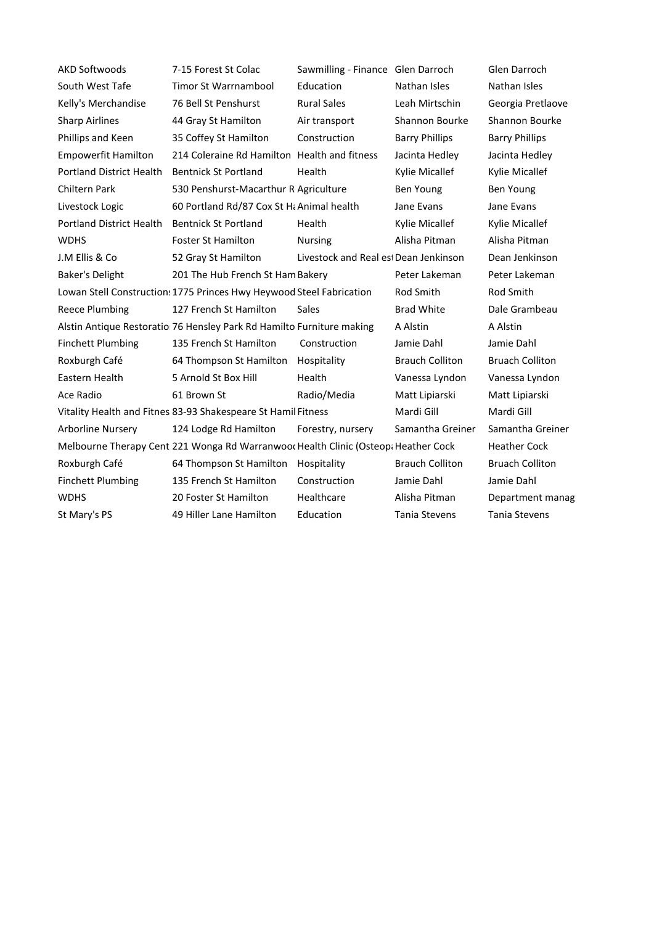| <b>AKD Softwoods</b>                                                               | 7-15 Forest St Colac                         | Sawmilling - Finance Glen Darroch     |                        | Glen Darroch           |
|------------------------------------------------------------------------------------|----------------------------------------------|---------------------------------------|------------------------|------------------------|
| South West Tafe                                                                    | <b>Timor St Warrnambool</b>                  | Education                             | Nathan Isles           | Nathan Isles           |
| Kelly's Merchandise                                                                | 76 Bell St Penshurst                         | <b>Rural Sales</b>                    | Leah Mirtschin         | Georgia Pretlaove      |
| <b>Sharp Airlines</b>                                                              | 44 Gray St Hamilton                          | Air transport                         | Shannon Bourke         | Shannon Bourke         |
| Phillips and Keen                                                                  | 35 Coffey St Hamilton                        | Construction                          | <b>Barry Phillips</b>  | <b>Barry Phillips</b>  |
| <b>Empowerfit Hamilton</b>                                                         | 214 Coleraine Rd Hamilton Health and fitness |                                       | Jacinta Hedley         | Jacinta Hedley         |
| <b>Portland District Health</b>                                                    | <b>Bentnick St Portland</b>                  | Health                                | Kylie Micallef         | Kylie Micallef         |
| <b>Chiltern Park</b>                                                               | 530 Penshurst-Macarthur R Agriculture        |                                       | <b>Ben Young</b>       | <b>Ben Young</b>       |
| Livestock Logic                                                                    | 60 Portland Rd/87 Cox St Hi Animal health    |                                       | Jane Evans             | Jane Evans             |
| <b>Portland District Health</b>                                                    | <b>Bentnick St Portland</b>                  | Health                                | Kylie Micallef         | Kylie Micallef         |
| <b>WDHS</b>                                                                        | <b>Foster St Hamilton</b>                    | <b>Nursing</b>                        | Alisha Pitman          | Alisha Pitman          |
| J.M Ellis & Co                                                                     | 52 Gray St Hamilton                          | Livestock and Real est Dean Jenkinson |                        | Dean Jenkinson         |
| Baker's Delight                                                                    | 201 The Hub French St Ham Bakery             |                                       | Peter Lakeman          | Peter Lakeman          |
| Lowan Stell Construction: 1775 Princes Hwy Heywood Steel Fabrication               | Rod Smith                                    |                                       |                        |                        |
| <b>Reece Plumbing</b>                                                              | 127 French St Hamilton                       | <b>Sales</b>                          | <b>Brad White</b>      | Dale Grambeau          |
| Alstin Antique Restoratio 76 Hensley Park Rd Hamilto Furniture making              | A Alstin                                     |                                       |                        |                        |
| <b>Finchett Plumbing</b>                                                           | 135 French St Hamilton                       | Construction                          | Jamie Dahl             | Jamie Dahl             |
| Roxburgh Café                                                                      | 64 Thompson St Hamilton                      | Hospitality                           | <b>Brauch Colliton</b> | <b>Bruach Colliton</b> |
| Eastern Health                                                                     | 5 Arnold St Box Hill                         | Health                                | Vanessa Lyndon         | Vanessa Lyndon         |
| Ace Radio                                                                          | 61 Brown St                                  | Radio/Media                           | Matt Lipiarski         | Matt Lipiarski         |
| Vitality Health and Fitnes 83-93 Shakespeare St Hamil Fitness                      | Mardi Gill                                   |                                       |                        |                        |
| <b>Arborline Nursery</b>                                                           | 124 Lodge Rd Hamilton                        | Forestry, nursery                     | Samantha Greiner       | Samantha Greiner       |
| Melbourne Therapy Cent 221 Wonga Rd Warranwoor Health Clinic (Osteopa Heather Cock | <b>Heather Cock</b>                          |                                       |                        |                        |
| Roxburgh Café                                                                      | 64 Thompson St Hamilton                      | Hospitality                           | <b>Brauch Colliton</b> | <b>Bruach Colliton</b> |
| <b>Finchett Plumbing</b>                                                           | 135 French St Hamilton                       | Construction                          | Jamie Dahl             | Jamie Dahl             |
| <b>WDHS</b>                                                                        | 20 Foster St Hamilton                        | Healthcare                            | Alisha Pitman          | Department manag       |
| St Mary's PS                                                                       | 49 Hiller Lane Hamilton                      | Education                             | <b>Tania Stevens</b>   | <b>Tania Stevens</b>   |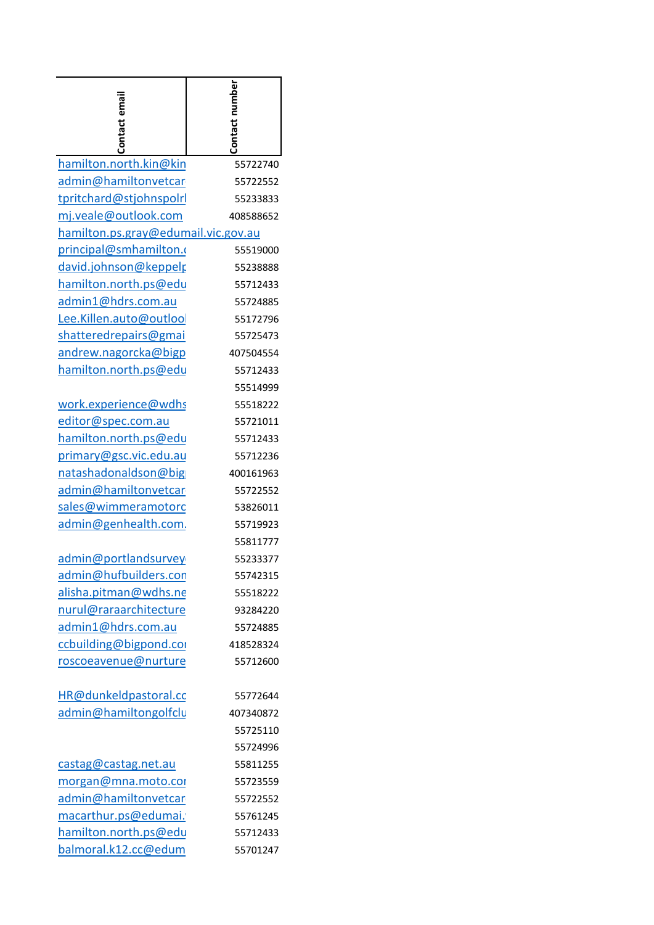| Contact email                       | Contact number |
|-------------------------------------|----------------|
| hamilton.north.kin@kin              | 55722740       |
| admin@hamiltonvetcar                | 55722552       |
| tpritchard@stjohnspolrl             | 55233833       |
| mj.veale@outlook.com                | 408588652      |
| hamilton.ps.gray@edumail.vic.gov.au |                |
| principal@smhamilton.               | 55519000       |
| <u>david.johnson@keppelp</u>        | 55238888       |
| hamilton.north.ps@edu               | 55712433       |
| admin1@hdrs.com.au                  | 55724885       |
| Lee.Killen.auto@outloo              | 55172796       |
| shatteredrepairs@gmai               | 55725473       |
| andrew.nagorcka@bigp                | 407504554      |
| hamilton.north.ps@edu               | 55712433       |
|                                     | 55514999       |
| work.experience@wdhs                | 55518222       |
| editor@spec.com.au                  | 55721011       |
| hamilton.north.ps@edu               | 55712433       |
| primary@gsc.vic.edu.au              | 55712236       |
| natashadonaldson@big                | 400161963      |
| admin@hamiltonvetcar                | 55722552       |
| sales@wimmeramotorc                 | 53826011       |
| admin@genhealth.com.                | 55719923       |
|                                     | 55811777       |
| admin@portlandsurvey                | 55233377       |
| admin@hufbuilders.con               | 55742315       |
| alisha.pitman@wdhs.ne               | 55518222       |
| nurul@raraarchitecture              | 93284220       |
| admin1@hdrs.com.au                  | 55724885       |
| ccbuilding@bigpond.co               | 418528324      |
| roscoeavenue@nurture                | 55712600       |
| HR@dunkeldpastoral.cc               | 55772644       |
| admin@hamiltongolfclu               | 407340872      |
|                                     | 55725110       |
|                                     | 55724996       |
| castag@castag.net.au                | 55811255       |
| morgan@mna.moto.com                 | 55723559       |
| admin@hamiltonvetcar                | 55722552       |
| macarthur.ps@edumai.                | 55761245       |
| hamilton.north.ps@edu               | 55712433       |
| balmoral.k12.cc@edum                | 55701247       |